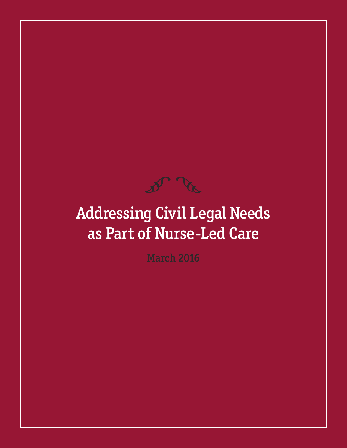

# Addressing Civil Legal Needs as Part of Nurse-Led Care

March 2016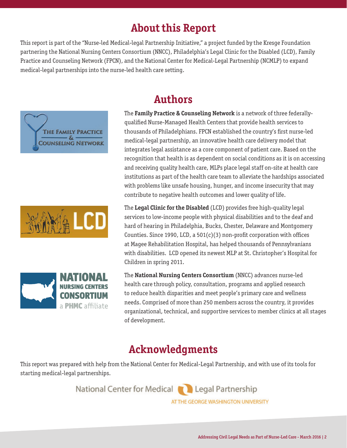# **About this Report**

This report is part of the "Nurse-led Medical-legal Partnership Initiative," a project funded by the Kresge Foundation partnering the National Nursing Centers Consortium (NNCC), Philadelphia's Legal Clinic for the Disabled (LCD), Family Practice and Counseling Network (FPCN), and the National Center for Medical-Legal Partnership (NCMLP) to expand medical-legal partnerships into the nurse-led health care setting.







# **Authors**

The **Family Practice & Counseling Network** is a network of three federallyqualified Nurse-Managed Health Centers that provide health services to thousands of Philadelphians. FPCN established the country's first nurse-led medical-legal partnership, an innovative health care delivery model that integrates legal assistance as a core component of patient care. Based on the recognition that health is as dependent on social conditions as it is on accessing and receiving quality health care, MLPs place legal staff on-site at health care institutions as part of the health care team to alleviate the hardships associated with problems like unsafe housing, hunger, and income insecurity that may contribute to negative health outcomes and lower quality of life.

The **Legal Clinic for the Disabled** (LCD) provides free high-quality legal services to low-income people with physical disabilities and to the deaf and hard of hearing in Philadelphia, Bucks, Chester, Delaware and Montgomery Counties. Since 1990, LCD, a 501(c)(3) non-profit corporation with offices at Magee Rehabilitation Hospital, has helped thousands of Pennsylvanians with disabilities. LCD opened its newest MLP at St. Christopher's Hospital for Children in spring 2011.

The **National Nursing Centers Consortium** (NNCC) advances nurse-led health care through policy, consultation, programs and applied research to reduce health disparities and meet people's primary care and wellness needs. Comprised of more than 250 members across the country, it provides organizational, technical, and supportive services to member clinics at all stages of development.

## **Acknowledgments**

This report was prepared with help from the National Center for Medical-Legal Partnership, and with use of its tools for starting medical-legal partnerships.

> National Center for Medical **Confidential Partnership** AT THE GEORGE WASHINGTON UNIVERSITY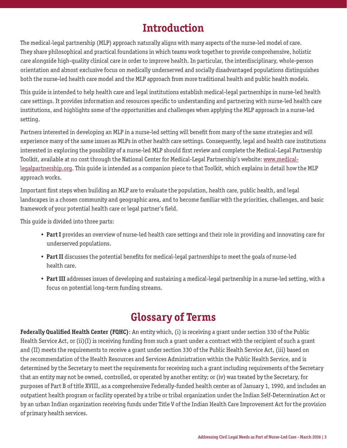# **Introduction**

The medical-legal partnership (MLP) approach naturally aligns with many aspects of the nurse-led model of care. They share philosophical and practical foundations in which teams work together to provide comprehensive, holistic care alongside high-quality clinical care in order to improve health. In particular, the interdisciplinary, whole-person orientation and almost exclusive focus on medically underserved and socially disadvantaged populations distinguishes both the nurse-led health care model and the MLP approach from more traditional health and public health models.

This guide is intended to help health care and legal institutions establish medical-legal partnerships in nurse-led health care settings. It provides information and resources specific to understanding and partnering with nurse-led health care institutions, and highlights some of the opportunities and challenges when applying the MLP approach in a nurse-led setting.

Partners interested in developing an MLP in a nurse-led setting will benefit from many of the same strategies and will experience many of the same issues as MLPs in other health care settings. Consequently, legal and health care institutions interested in exploring the possibility of a nurse-led MLP should first review and complete the Medical-Legal Partnership Toolkit, available at no cost through the National Center for Medical-Legal Partnership's website: www.medicallegalpartnership.org. This guide is intended as a companion piece to that Toolkit, which explains in detail how the MLP approach works.

Important first steps when building an MLP are to evaluate the population, health care, public health, and legal landscapes in a chosen community and geographic area, and to become familiar with the priorities, challenges, and basic framework of your potential health care or legal partner's field.

This guide is divided into three parts:

- **Part I** provides an overview of nurse-led health care settings and their role in providing and innovating care for underserved populations.
- **Part II** discusses the potential benefits for medical-legal partnerships to meet the goals of nurse-led health care.
- **Part III** addresses issues of developing and sustaining a medical-legal partnership in a nurse-led setting, with a focus on potential long-term funding streams.

# **Glossary of Terms**

**Federally Qualified Health Center (FQHC)**: An entity which, (i) is receiving a grant under section 330 of the Public Health Service Act, or (ii)(I) is receiving funding from such a grant under a contract with the recipient of such a grant and (II) meets the requirements to receive a grant under section 330 of the Public Health Service Act, (iii) based on the recommendation of the Health Resources and Services Administration within the Public Health Service, and is determined by the Secretary to meet the requirements for receiving such a grant including requirements of the Secretary that an entity may not be owned, controlled, or operated by another entity; or (iv) was treated by the Secretary, for purposes of Part B of title XVIII, as a comprehensive Federally-funded health center as of January 1, 1990, and includes an outpatient health program or facility operated by a tribe or tribal organization under the Indian Self-Determination Act or by an urban Indian organization receiving funds under Title V of the Indian Health Care Improvement Act for the provision of primary health services.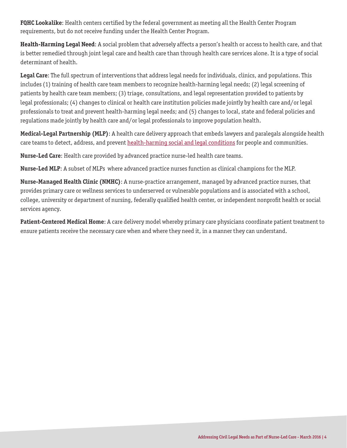**FQHC Lookalike**: Health centers certified by the federal government as meeting all the Health Center Program requirements, but do not receive funding under the Health Center Program.

**Health-Harming Legal Need**: A social problem that adversely affects a person's health or access to health care, and that is better remedied through joint legal care and health care than through health care services alone. It is a type of social determinant of health.

**Legal Care**: The full spectrum of interventions that address legal needs for individuals, clinics, and populations. This includes (1) training of health care team members to recognize health-harming legal needs; (2) legal screening of patients by health care team members; (3) triage, consultations, and legal representation provided to patients by legal professionals; (4) changes to clinical or health care institution policies made jointly by health care and/or legal professionals to treat and prevent health-harming legal needs; and (5) changes to local, state and federal policies and regulations made jointly by health care and/or legal professionals to improve population health.

**Medical-Legal Partnership (MLP)**: A health care delivery approach that embeds lawyers and paralegals alongside health care teams to detect, address, and prevent health-harming social and legal conditions for people and communities.

**Nurse-Led Care**: Health care provided by advanced practice nurse-led health care teams.

**Nurse-Led MLP**: A subset of MLPs where advanced practice nurses function as clinical champions for the MLP.

**Nurse-Managed Health Clinic (NMHC)**: A nurse-practice arrangement, managed by advanced practice nurses, that provides primary care or wellness services to underserved or vulnerable populations and is associated with a school, college, university or department of nursing, federally qualified health center, or independent nonprofit health or social services agency.

**Patient-Centered Medical Home**: A care delivery model whereby primary care physicians coordinate patient treatment to ensure patients receive the necessary care when and where they need it, in a manner they can understand.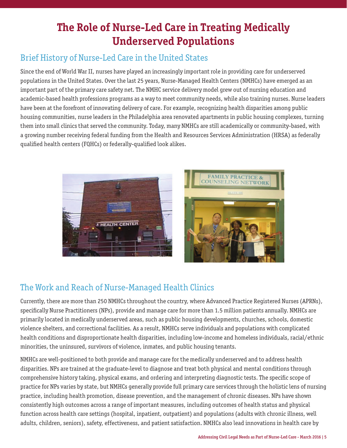# **The Role of Nurse-Led Care in Treating Medically Underserved Populations**

#### Brief History of Nurse-Led Care in the United States

Since the end of World War II, nurses have played an increasingly important role in providing care for underserved populations in the United States. Over the last 25 years, Nurse-Managed Health Centers (NMHCs) have emerged as an important part of the primary care safety net. The NMHC service delivery model grew out of nursing education and academic-based health professions programs as a way to meet community needs, while also training nurses. Nurse leaders have been at the forefront of innovating delivery of care. For example, recognizing health disparities among public housing communities, nurse leaders in the Philadelphia area renovated apartments in public housing complexes, turning them into small clinics that served the community. Today, many NMHCs are still academically or community-based, with a growing number receiving federal funding from the Health and Resources Services Administration (HRSA) as federally qualified health centers (FQHCs) or federally-qualified look alikes.





### The Work and Reach of Nurse-Managed Health Clinics

Currently, there are more than 250 NMHCs throughout the country, where Advanced Practice Registered Nurses (APRNs), specifically Nurse Practitioners (NPs), provide and manage care for more than 1.5 million patients annually. NMHCs are primarily located in medically underserved areas, such as public housing developments, churches, schools, domestic violence shelters, and correctional facilities. As a result, NMHCs serve individuals and populations with complicated health conditions and disproportionate health disparities, including low-income and homeless individuals, racial/ethnic minorities, the uninsured, survivors of violence, inmates, and public housing tenants.

NMHCs are well-positioned to both provide and manage care for the medically underserved and to address health disparities. NPs are trained at the graduate-level to diagnose and treat both physical and mental conditions through comprehensive history taking, physical exams, and ordering and interpreting diagnostic tests. The specific scope of practice for NPs varies by state, but NMHCs generally provide full primary care services through the holistic lens of nursing practice, including health promotion, disease prevention, and the management of chronic diseases. NPs have shown consistently high outcomes across a range of important measures, including outcomes of health status and physical function across health care settings (hospital, inpatient, outpatient) and populations (adults with chronic illness, well adults, children, seniors), safety, effectiveness, and patient satisfaction. NMHCs also lead innovations in health care by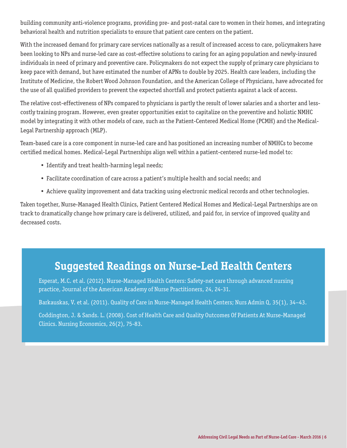building community anti-violence programs, providing pre- and post-natal care to women in their homes, and integrating behavioral health and nutrition specialists to ensure that patient care centers on the patient.

With the increased demand for primary care services nationally as a result of increased access to care, policymakers have been looking to NPs and nurse-led care as cost-effective solutions to caring for an aging population and newly-insured individuals in need of primary and preventive care. Policymakers do not expect the supply of primary care physicians to keep pace with demand, but have estimated the number of APNs to double by 2025. Health care leaders, including the Institute of Medicine, the Robert Wood Johnson Foundation, and the American College of Physicians, have advocated for the use of all qualified providers to prevent the expected shortfall and protect patients against a lack of access.

The relative cost-effectiveness of NPs compared to physicians is partly the result of lower salaries and a shorter and lesscostly training program. However, even greater opportunities exist to capitalize on the preventive and holistic NMHC model by integrating it with other models of care, such as the Patient-Centered Medical Home (PCMH) and the Medical-Legal Partnership approach (MLP).

Team-based care is a core component in nurse-led care and has positioned an increasing number of NMHCs to become certified medical homes. Medical-Legal Partnerships align well within a patient-centered nurse-led model to:

- Identify and treat health-harming legal needs;
- Facilitate coordination of care across a patient's multiple health and social needs; and
- Achieve quality improvement and data tracking using electronic medical records and other technologies.

Taken together, Nurse-Managed Health Clinics, Patient Centered Medical Homes and Medical-Legal Partnerships are on track to dramatically change how primary care is delivered, utilized, and paid for, in service of improved quality and decreased costs.

### **Suggested Readings on Nurse-Led Health Centers**

Esperat, M.C. et al. (2012). Nurse-Managed Health Centers: Safety-net care through advanced nursing practice, Journal of the American Academy of Nurse Practitioners, 24, 24-31.

Barkauskas, V. et al. (2011). Quality of Care in Nurse-Managed Health Centers; Nurs Admin Q, 35(1), 34–43.

Coddington, J. & Sands. L. (2008). Cost of Health Care and Quality Outcomes Of Patients At Nurse-Managed Clinics. Nursing Economics, 26(2), 75-83.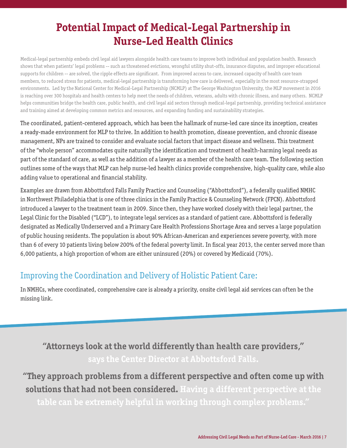# **Potential Impact of Medical-Legal Partnership in Nurse-Led Health Clinics**

Medical-legal partnership embeds civil legal aid lawyers alongside health care teams to improve both individual and population health. Research shows that when patients' legal problems -- such as threatened evictions, wrongful utility shut-offs, insurance disputes, and improper educational supports for children -- are solved, the ripple effects are significant. From improved access to care, increased capacity of health care team members, to reduced stress for patients, medical-legal partnership is transforming how care is delivered, especially in the most resource-strapped environments. Led by the National Center for Medical-Legal Partnership (NCMLP) at The George Washington University, the MLP movement in 2016 is reaching over 300 hospitals and health centers to help meet the needs of children, veterans, adults with chronic illness, and many others. NCMLP helps communities bridge the health care, public health, and civil legal aid sectors through medical-legal partnership, providing technical assistance and training aimed at developing common metrics and resources, and expanding funding and sustainability strategies.

The coordinated, patient-centered approach, which has been the hallmark of nurse-led care since its inception, creates a ready-made environment for MLP to thrive. In addition to health promotion, disease prevention, and chronic disease management, NPs are trained to consider and evaluate social factors that impact disease and wellness. This treatment of the "whole person" accommodates quite naturally the identification and treatment of health-harming legal needs as part of the standard of care, as well as the addition of a lawyer as a member of the health care team. The following section outlines some of the ways that MLP can help nurse-led health clinics provide comprehensive, high-quality care, while also adding value to operational and financial stability.

Examples are drawn from Abbottsford Falls Family Practice and Counseling ("Abbottsford"), a federally qualified NMHC in Northwest Philadelphia that is one of three clinics in the Family Practice & Counseling Network (FPCN). Abbottsford introduced a lawyer to the treatment team in 2009. Since then, they have worked closely with their legal partner, the Legal Clinic for the Disabled ("LCD"), to integrate legal services as a standard of patient care. Abbottsford is federally designated as Medically Underserved and a Primary Care Health Professions Shortage Area and serves a large population of public housing residents. The population is about 90% African-American and experiences severe poverty, with more than 6 of every 10 patients living below 200% of the federal poverty limit. In fiscal year 2013, the center served more than 6,000 patients, a high proportion of whom are either uninsured (20%) or covered by Medicaid (70%).

### Improving the Coordination and Delivery of Holistic Patient Care:

In NMHCs, where coordinated, comprehensive care is already a priority, onsite civil legal aid services can often be the missing link.

**"Attorneys look at the world differently than health care providers," says the Center Director at Abbottsford Falls.** 

**"They approach problems from a different perspective and often come up with solutions that had not been considered. Having a different perspective at the table can be extremely helpful in working through complex problems."**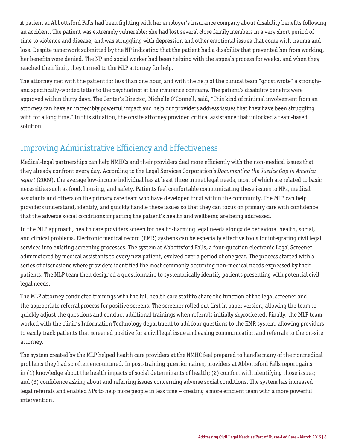A patient at Abbottsford Falls had been fighting with her employer's insurance company about disability benefits following an accident. The patient was extremely vulnerable: she had lost several close family members in a very short period of time to violence and disease, and was struggling with depression and other emotional issues that come with trauma and loss. Despite paperwork submitted by the NP indicating that the patient had a disability that prevented her from working, her benefits were denied. The NP and social worker had been helping with the appeals process for weeks, and when they reached their limit, they turned to the MLP attorney for help.

The attorney met with the patient for less than one hour, and with the help of the clinical team "ghost wrote" a stronglyand specifically-worded letter to the psychiatrist at the insurance company. The patient's disability benefits were approved within thirty days. The Center's Director, Michelle O'Connell, said, "This kind of minimal involvement from an attorney can have an incredibly powerful impact and help our providers address issues that they have been struggling with for a long time." In this situation, the onsite attorney provided critical assistance that unlocked a team-based solution.

#### Improving Administrative Efficiency and Effectiveness

Medical-legal partnerships can help NMHCs and their providers deal more efficiently with the non-medical issues that they already confront every day. According to the Legal Services Corporation's *Documenting the Justice Gap in America report* (2009), the average low-income individual has at least three unmet legal needs, most of which are related to basic necessities such as food, housing, and safety. Patients feel comfortable communicating these issues to NPs, medical assistants and others on the primary care team who have developed trust within the community. The MLP can help providers understand, identify, and quickly handle these issues so that they can focus on primary care with confidence that the adverse social conditions impacting the patient's health and wellbeing are being addressed.

In the MLP approach, health care providers screen for health-harming legal needs alongside behavioral health, social, and clinical problems. Electronic medical record (EMR) systems can be especially effective tools for integrating civil legal services into existing screening processes. The system at Abbottsford Falls, a four-question electronic Legal Screener administered by medical assistants to every new patient, evolved over a period of one year. The process started with a series of discussions where providers identified the most commonly occurring non-medical needs expressed by their patients. The MLP team then designed a questionnaire to systematically identify patients presenting with potential civil legal needs.

The MLP attorney conducted trainings with the full health care staff to share the function of the legal screener and the appropriate referral process for positive screens. The screener rolled out first in paper version, allowing the team to quickly adjust the questions and conduct additional trainings when referrals initially skyrocketed. Finally, the MLP team worked with the clinic's Information Technology department to add four questions to the EMR system, allowing providers to easily track patients that screened positive for a civil legal issue and easing communication and referrals to the on-site attorney.

The system created by the MLP helped health care providers at the NMHC feel prepared to handle many of the nonmedical problems they had so often encountered. In post-training questionnaires, providers at Abbottsford Falls report gains in (1) knowledge about the health impacts of social determinants of health; (2) comfort with identifying those issues; and (3) confidence asking about and referring issues concerning adverse social conditions. The system has increased legal referrals and enabled NPs to help more people in less time – creating a more efficient team with a more powerful intervention.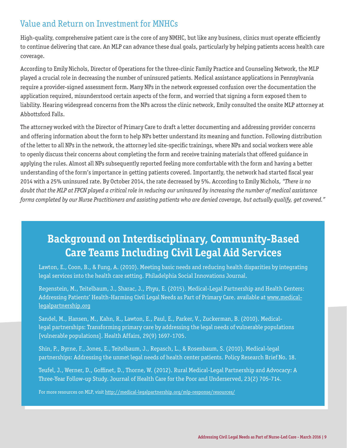### Value and Return on Investment for MNHCs

High-quality, comprehensive patient care is the core of any NMHC, but like any business, clinics must operate efficiently to continue delivering that care. An MLP can advance these dual goals, particularly by helping patients access health care coverage.

According to Emily Nichols, Director of Operations for the three-clinic Family Practice and Counseling Network, the MLP played a crucial role in decreasing the number of uninsured patients. Medical assistance applications in Pennsylvania require a provider-signed assessment form. Many NPs in the network expressed confusion over the documentation the application required, misunderstood certain aspects of the form, and worried that signing a form exposed them to liability. Hearing widespread concerns from the NPs across the clinic network, Emily consulted the onsite MLP attorney at Abbottsford Falls.

The attorney worked with the Director of Primary Care to draft a letter documenting and addressing provider concerns and offering information about the form to help NPs better understand its meaning and function. Following distribution of the letter to all NPs in the network, the attorney led site-specific trainings, where NPs and social workers were able to openly discuss their concerns about completing the form and receive training materials that offered guidance in applying the rules. Almost all NPs subsequently reported feeling more comfortable with the form and having a better understanding of the form's importance in getting patients covered. Importantly, the network had started fiscal year 2014 with a 25% uninsured rate. By October 2014, the rate decreased by 5%. According to Emily Nichols, *"There is no doubt that the MLP at FPCN played a critical role in reducing our uninsured by increasing the number of medical assistance forms completed by our Nurse Practitioners and assisting patients who are denied coverage, but actually qualify, get covered."* 

# **Background on Interdisciplinary, Community-Based Care Teams Including Civil Legal Aid Services**

Lawton, E., Coon, B., & Fung, A. (2010). Meeting basic needs and reducing health disparities by integrating legal services into the health care setting. Philadelphia Social Innovations Journal.

Regenstein, M., Teitelbaum, J., Sharac, J., Phyu, E. (2015). Medical-Legal Partnership and Health Centers: Addressing Patients' Health-Harming Civil Legal Needs as Part of Primary Care. available at www.medicallegalpartnership.org

Sandel, M., Hansen, M., Kahn, R., Lawton, E., Paul, E., Parker, V., Zuckerman, B. (2010). Medicallegal partnerships: Transforming primary care by addressing the legal needs of vulnerable populations [vulnerable populations]. Health Affairs, 29(9) 1697-1705.

Shin, P., Byrne, F., Jones, E., Teitelbaum, J., Repasch, L., & Rosenbaum, S. (2010). Medical-legal partnerships: Addressing the unmet legal needs of health center patients. Policy Research Brief No. 18.

Teufel, J., Werner, D., Goffinet, D., Thorne, W. (2012). Rural Medical-Legal Partnership and Advocacy: A Three-Year Follow-up Study. Journal of Health Care for the Poor and Underserved, 23(2) 705-714.

For more resources on MLP, visit http://medical-legalpartnership.org/mlp-response/resources/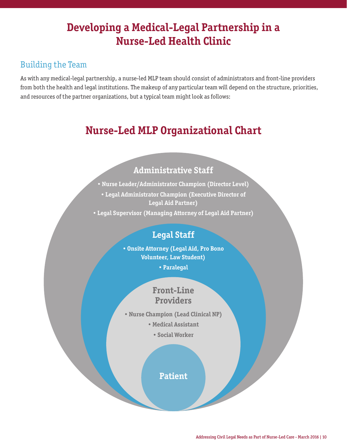# **Developing a Medical-Legal Partnership in a Nurse-Led Health Clinic**

#### Building the Team

As with any medical-legal partnership, a nurse-led MLP team should consist of administrators and front-line providers from both the health and legal institutions. The makeup of any particular team will depend on the structure, priorities, and resources of the partner organizations, but a typical team might look as follows:

# **Nurse-Led MLP Organizational Chart**

#### **Administrative Staff**

• **Nurse Leader/Administrator Champion (Director Level)** • **Legal Administrator Champion (Executive Director of Legal Aid Partner)**

• **Legal Supervisor (Managing Attorney of Legal Aid Partner)**

### **Legal Staff**

• **Onsite Attorney (Legal Aid, Pro Bono Volunteer, Law Student)**

• **Paralegal**

#### **Front-Line Providers**

- • **Nurse Champion (Lead Clinical NP)**
	- • **Medical Assistant**
		- • **Social Worker**

**Patient**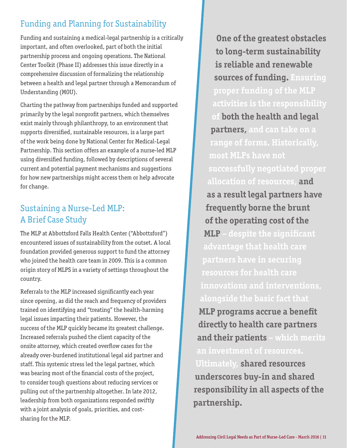### Funding and Planning for Sustainability

Funding and sustaining a medical-legal partnership is a critically important, and often overlooked, part of both the initial partnership process and ongoing operations. The National Center Toolkit (Phase II) addresses this issue directly in a comprehensive discussion of formalizing the relationship between a health and legal partner through a Memorandum of Understanding (MOU).

Charting the pathway from partnerships funded and supported primarily by the legal nonprofit partners, which themselves exist mainly through philanthropy, to an environment that supports diversified, sustainable resources, is a large part of the work being done by National Center for Medical-Legal Partnership. This section offers an example of a nurse-led MLP using diversified funding, followed by descriptions of several current and potential payment mechanisms and suggestions for how new partnerships might access them or help advocate for change.

### Sustaining a Nurse-Led MLP: A Brief Case Study

The MLP at Abbottsford Falls Health Center ("Abbottsford") encountered issues of sustainability from the outset. A local foundation provided generous support to fund the attorney who joined the health care team in 2009. This is a common origin story of MLPS in a variety of settings throughout the country.

Referrals to the MLP increased significantly each year since opening, as did the reach and frequency of providers trained on identifying and "treating" the health-harming legal issues impacting their patients. However, the success of the MLP quickly became its greatest challenge. Increased referrals pushed the client capacity of the onsite attorney, which created overflow cases for the already over-burdened institutional legal aid partner and staff. This systemic stress led the legal partner, which was bearing most of the financial costs of the project, to consider tough questions about reducing services or pulling out of the partnership altogether. In late 2012, leadership from both organizations responded swiftly with a joint analysis of goals, priorities, and costsharing for the MLP.

**One of the greatest obstacles to long-term sustainability is reliable and renewable sources of funding. Ensuring proper funding of the MLP activities is the responsibility of both the health and legal partners, and can take on a range of forms. Historically, most MLPs have not successfully negotiated proper allocation of resources, and as a result legal partners have frequently borne the brunt of the operating cost of the MLP – despite the significant advantage that health care resources for health care innovations and interventions, alongside the basic fact that MLP programs accrue a benefit directly to health care partners and their patients – which merits an investment of resources. Ultimately, shared resources underscores buy-in and shared responsibility in all aspects of the partnership.**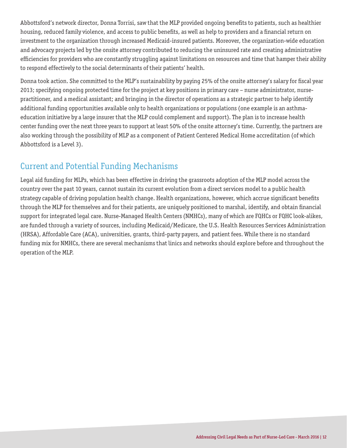Abbottsford's network director, Donna Torrisi, saw that the MLP provided ongoing benefits to patients, such as healthier housing, reduced family violence, and access to public benefits, as well as help to providers and a financial return on investment to the organization through increased Medicaid-insured patients. Moreover, the organization-wide education and advocacy projects led by the onsite attorney contributed to reducing the uninsured rate and creating administrative efficiencies for providers who are constantly struggling against limitations on resources and time that hamper their ability to respond effectively to the social determinants of their patients' health.

Donna took action. She committed to the MLP's sustainability by paying 25% of the onsite attorney's salary for fiscal year 2013; specifying ongoing protected time for the project at key positions in primary care – nurse administrator, nursepractitioner, and a medical assistant; and bringing in the director of operations as a strategic partner to help identify additional funding opportunities available only to health organizations or populations (one example is an asthmaeducation initiative by a large insurer that the MLP could complement and support). The plan is to increase health center funding over the next three years to support at least 50% of the onsite attorney's time. Currently, the partners are also working through the possibility of MLP as a component of Patient Centered Medical Home accreditation (of which Abbottsford is a Level 3).

### Current and Potential Funding Mechanisms

Legal aid funding for MLPs, which has been effective in driving the grassroots adoption of the MLP model across the country over the past 10 years, cannot sustain its current evolution from a direct services model to a public health strategy capable of driving population health change. Health organizations, however, which accrue significant benefits through the MLP for themselves and for their patients, are uniquely positioned to marshal, identify, and obtain financial support for integrated legal care. Nurse-Managed Health Centers (NMHCs), many of which are FQHCs or FQHC look-alikes, are funded through a variety of sources, including Medicaid/Medicare, the U.S. Health Resources Services Administration (HRSA), Affordable Care (ACA), universities, grants, third-party payers, and patient fees. While there is no standard funding mix for NMHCs, there are several mechanisms that linics and networks should explore before and throughout the operation of the MLP.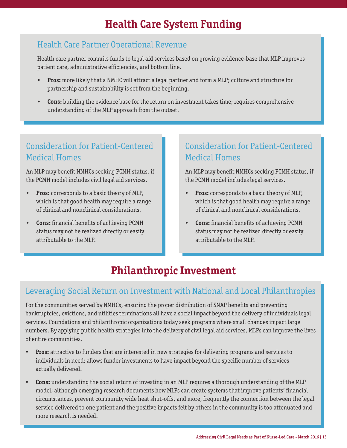# **Health Care System Funding**

### Health Care Partner Operational Revenue

Health care partner commits funds to legal aid services based on growing evidence-base that MLP improves patient care, administrative efficiencies, and bottom line.

- **• Pros:** more likely that a NMHC will attract a legal partner and form a MLP; culture and structure for partnership and sustainability is set from the beginning.
- **• Cons:** building the evidence base for the return on investment takes time; requires comprehensive understanding of the MLP approach from the outset.

### Consideration for Patient-Centered Medical Homes

An MLP may benefit NMHCs seeking PCMH status, if the PCMH model includes civil legal aid services.

- **• Pros:** corresponds to a basic theory of MLP, which is that good health may require a range of clinical and nonclinical considerations.
- **• Cons:** financial benefits of achieving PCMH status may not be realized directly or easily attributable to the MLP.

### Consideration for Patient-Centered Medical Homes

An MLP may benefit NMHCs seeking PCMH status, if the PCMH model includes legal services.

- **• Pros:** corresponds to a basic theory of MLP, which is that good health may require a range of clinical and nonclinical considerations.
- **• Cons:** financial benefits of achieving PCMH status may not be realized directly or easily attributable to the MLP.

# **Philanthropic Investment**

#### Leveraging Social Return on Investment with National and Local Philanthropies

For the communities served by NMHCs, ensuring the proper distribution of SNAP benefits and preventing bankruptcies, evictions, and utilities terminations all have a social impact beyond the delivery of individuals legal services. Foundations and philanthropic organizations today seek programs where small changes impact large numbers. By applying public health strategies into the delivery of civil legal aid services, MLPs can improve the lives of entire communities.

- **• Pros:** attractive to funders that are interested in new strategies for delivering programs and services to individuals in need; allows funder investments to have impact beyond the specific number of services actually delivered.
- **• Cons:** understanding the social return of investing in an MLP requires a thorough understanding of the MLP model; although emerging research documents how MLPs can create systems that improve patients' financial circumstances, prevent community wide heat shut-offs, and more, frequently the connection between the legal service delivered to one patient and the positive impacts felt by others in the community is too attenuated and more research is needed.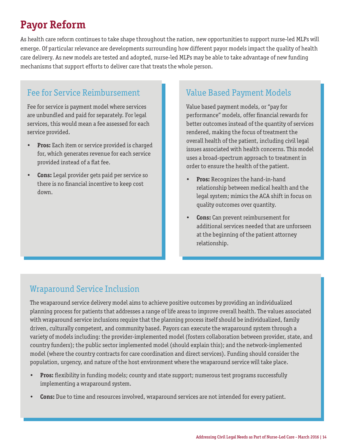# **Payor Reform**

As health care reform continues to take shape throughout the nation, new opportunities to support nurse-led MLPs will emerge. Of particular relevance are developments surrounding how different payor models impact the quality of health care delivery. As new models are tested and adopted, nurse-led MLPs may be able to take advantage of new funding mechanisms that support efforts to deliver care that treats the whole person.

### Fee for Service Reimbursement

Fee for service is payment model where services are unbundled and paid for separately. For legal services, this would mean a fee assessed for each service provided.

- **• Pros:** Each item or service provided is charged for, which generates revenue for each service provided instead of a flat fee.
- **• Cons:** Legal provider gets paid per service so there is no financial incentive to keep cost down.

### Value Based Payment Models

Value based payment models, or "pay for performance" models, offer financial rewards for better outcomes instead of the quantity of services rendered, making the focus of treatment the overall health of the patient, including civil legal issues associated with health concerns. This model uses a broad-spectrum approach to treatment in order to ensure the health of the patient.

- **• Pros:** Recognizes the hand-in-hand relationship between medical health and the legal system; mimics the ACA shift in focus on quality outcomes over quantity.
- **• Cons:** Can prevent reimbursement for additional services needed that are unforseen at the beginning of the patient attorney relationship.

### Wraparound Service Inclusion

The wraparound service delivery model aims to achieve positive outcomes by providing an individualized planning process for patients that addresses a range of life areas to improve overall health. The values associated with wraparound service inclusions require that the planning process itself should be individualized, family driven, culturally competent, and community based. Payors can execute the wraparound system through a variety of models including: the provider-implemented model (fosters collaboration between provider, state, and country funders); the public sector implemented model (should explain this); and the network-implemented model (where the country contracts for care coordination and direct services). Funding should consider the population, urgency, and nature of the host environment where the wraparound service will take place.

- **• Pros:** flexibility in funding models; county and state support; numerous test programs successfully implementing a wraparound system.
- **• Cons:** Due to time and resources involved, wraparound services are not intended for every patient.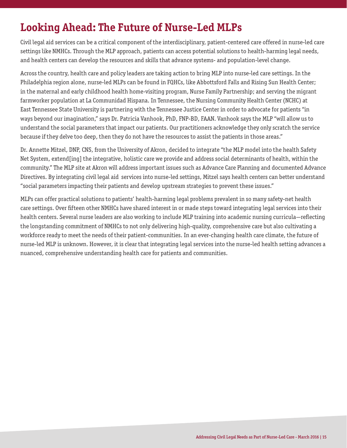# **Looking Ahead: The Future of Nurse-Led MLPs**

Civil legal aid services can be a critical component of the interdisciplinary, patient-centered care offered in nurse-led care settings like NMHCs. Through the MLP approach, patients can access potential solutions to health-harming legal needs, and health centers can develop the resources and skills that advance systems- and population-level change.

Across the country, health care and policy leaders are taking action to bring MLP into nurse-led care settings. In the Philadelphia region alone, nurse-led MLPs can be found in FQHCs, like Abbottsford Falls and Rising Sun Health Center; in the maternal and early childhood health home-visiting program, Nurse Family Partnership; and serving the migrant farmworker population at La Communidad Hispana. In Tennessee, the Nursing Community Health Center (NCHC) at East Tennessee State University is partnering with the Tennessee Justice Center in order to advocate for patients "in ways beyond our imagination," says Dr. Patricia Vanhook, PhD, FNP-BD, FAAN. Vanhook says the MLP "will allow us to understand the social parameters that impact our patients. Our practitioners acknowledge they only scratch the service because if they delve too deep, then they do not have the resources to assist the patients in those areas."

Dr. Annette Mitzel, DNP, CNS, from the University of Akron, decided to integrate "the MLP model into the health Safety Net System, extend[ing] the integrative, holistic care we provide and address social determinants of health, within the community." The MLP site at Akron will address important issues such as Advance Care Planning and documented Advance Directives. By integrating civil legal aid services into nurse-led settings, Mitzel says health centers can better understand "social parameters impacting their patients and develop upstream strategies to prevent these issues."

MLPs can offer practical solutions to patients' health-harming legal problems prevalent in so many safety-net health care settings. Over fifteen other NMHCs have shared interest in or made steps toward integrating legal services into their health centers. Several nurse leaders are also working to include MLP training into academic nursing curricula—reflecting the longstanding commitment of NMHCs to not only delivering high-quality, comprehensive care but also cultivating a workforce ready to meet the needs of their patient-communities. In an ever-changing health care climate, the future of nurse-led MLP is unknown. However, it is clear that integrating legal services into the nurse-led health setting advances a nuanced, comprehensive understanding health care for patients and communities.